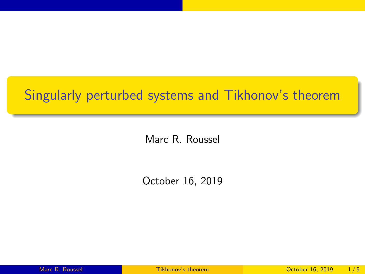## <span id="page-0-0"></span>Singularly perturbed systems and Tikhonov's theorem

Marc R. Roussel

October 16, 2019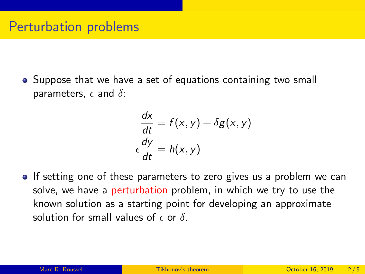• Suppose that we have a set of equations containing two small parameters,  $\epsilon$  and  $\delta$ :

$$
\frac{dx}{dt} = f(x, y) + \delta g(x, y)
$$

$$
\epsilon \frac{dy}{dt} = h(x, y)
$$

If setting one of these parameters to zero gives us a problem we can solve, we have a perturbation problem, in which we try to use the known solution as a starting point for developing an approximate solution for small values of  $\epsilon$  or  $\delta$ .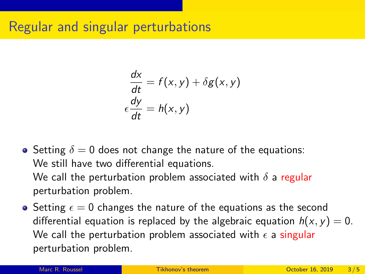## Regular and singular perturbations

$$
\frac{dx}{dt} = f(x, y) + \delta g(x, y)
$$

$$
\epsilon \frac{dy}{dt} = h(x, y)
$$

- Setting  $\delta = 0$  does not change the nature of the equations: We still have two differential equations. We call the perturbation problem associated with  $\delta$  a regular perturbation problem.
- Setting  $\epsilon = 0$  changes the nature of the equations as the second differential equation is replaced by the algebraic equation  $h(x, y) = 0$ . We call the perturbation problem associated with  $\epsilon$  a singular perturbation problem.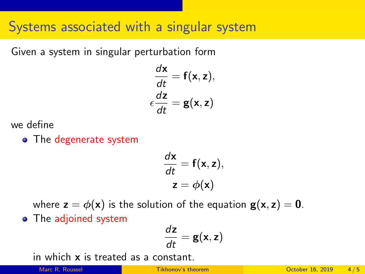## Systems associated with a singular system

Given a system in singular perturbation form

$$
\frac{d\mathbf{x}}{dt} = \mathbf{f}(\mathbf{x}, \mathbf{z}),
$$

$$
\epsilon \frac{d\mathbf{z}}{dt} = \mathbf{g}(\mathbf{x}, \mathbf{z})
$$

we define

• The degenerate system

$$
\frac{d\mathbf{x}}{dt} = \mathbf{f}(\mathbf{x}, \mathbf{z}),
$$

$$
\mathbf{z} = \phi(\mathbf{x})
$$

where  $z = \phi(x)$  is the solution of the equation  $g(x, z) = 0$ . • The adjoined system

$$
\frac{d\mathbf{z}}{dt} = \mathbf{g}(\mathbf{x}, \mathbf{z})
$$

in which x is treated as a constant.